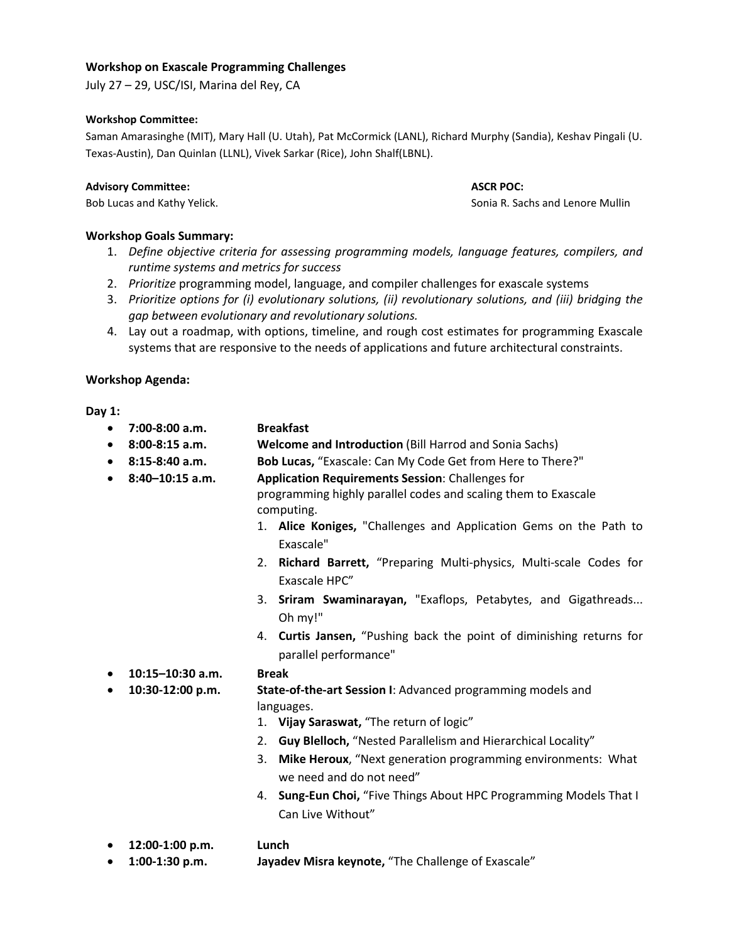## **Workshop on Exascale Programming Challenges**

July 27 – 29, USC/ISI, Marina del Rey, CA

### **Workshop Committee:**

Saman Amarasinghe (MIT), Mary Hall (U. Utah), Pat McCormick (LANL), Richard Murphy (Sandia), Keshav Pingali (U. Texas-Austin), Dan Quinlan (LLNL), Vivek Sarkar (Rice), John Shalf(LBNL).

#### **Advisory Committee: ASCR POC:**

# **Workshop Goals Summary:**

- 1. *Define objective criteria for assessing programming models, language features, compilers, and runtime systems and metrics for success*
- 2. *Prioritize* programming model, language, and compiler challenges for exascale systems
- 3. *Prioritize options for (i) evolutionary solutions, (ii) revolutionary solutions, and (iii) bridging the gap between evolutionary and revolutionary solutions.*
- 4. Lay out a roadmap, with options, timeline, and rough cost estimates for programming Exascale systems that are responsive to the needs of applications and future architectural constraints.

# **Workshop Agenda:**

**Day 1:** 

- **7:00-8:00 a.m. Breakfast**
- **8:00-8:15 a.m. Welcome and Introduction** (Bill Harrod and Sonia Sachs)
- **8:15-8:40 a.m. Bob Lucas,** "Exascale: Can My Code Get from Here to There?"
- **8:40–10:15 a.m. Application Requirements Session**: Challenges for

 programming highly parallel codes and scaling them to Exascale computing.

- 1. **Alice Koniges,** "Challenges and Application Gems on the Path to Exascale"
- 2. **Richard Barrett,** "Preparing Multi-physics, Multi-scale Codes for Exascale HPC"
- 3. **Sriram Swaminarayan,** "Exaflops, Petabytes, and Gigathreads... Oh my!"
- 4. **Curtis Jansen,** "Pushing back the point of diminishing returns for parallel performance"
- **10:15–10:30 a.m. Break**
	-
- **10:30-12:00 p.m. State-of-the-art Session I**: Advanced programming models and languages.
	- 1. **Vijay Saraswat,** "The return of logic"
	- 2. **Guy Blelloch,** "Nested Parallelism and Hierarchical Locality"
	- 3. **Mike Heroux**, "Next generation programming environments: What we need and do not need"
	- 4. **Sung-Eun Choi,** "Five Things About HPC Programming Models That I Can Live Without"
- **12:00-1:00 p.m. Lunch**
- **1:00-1:30 p.m. Jayadev Misra keynote,** "The Challenge of Exascale"

Bob Lucas and Kathy Yelick. *Sonia R. Sachs and Lenore Mullin* Sonia R. Sachs and Lenore Mullin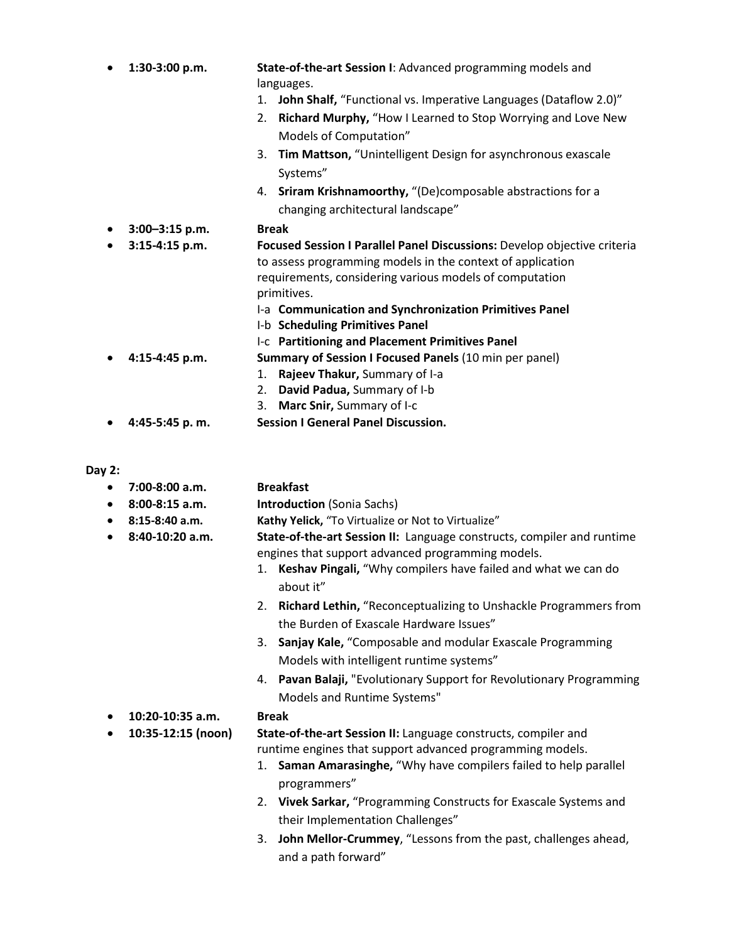| $\bullet$ | 1:30-3:00 p.m.    | State-of-the-art Session I: Advanced programming models and              |
|-----------|-------------------|--------------------------------------------------------------------------|
|           |                   | languages.                                                               |
|           |                   | John Shalf, "Functional vs. Imperative Languages (Dataflow 2.0)"<br>1.   |
|           |                   | Richard Murphy, "How I Learned to Stop Worrying and Love New<br>2.       |
|           |                   | Models of Computation"                                                   |
|           |                   | Tim Mattson, "Unintelligent Design for asynchronous exascale<br>3.       |
|           |                   | Systems"                                                                 |
|           |                   | 4. Sriram Krishnamoorthy, "(De)composable abstractions for a             |
|           |                   | changing architectural landscape"                                        |
|           | 3:00-3:15 p.m.    | <b>Break</b>                                                             |
|           | 3:15-4:15 p.m.    | Focused Session I Parallel Panel Discussions: Develop objective criteria |
|           |                   | to assess programming models in the context of application               |
|           |                   | requirements, considering various models of computation                  |
|           |                   | primitives.                                                              |
|           |                   | I-a Communication and Synchronization Primitives Panel                   |
|           |                   | I-b Scheduling Primitives Panel                                          |
|           |                   | I-c Partitioning and Placement Primitives Panel                          |
| $\bullet$ | 4:15-4:45 p.m.    | Summary of Session I Focused Panels (10 min per panel)                   |
|           |                   | Rajeev Thakur, Summary of I-a<br>1.                                      |
|           |                   | David Padua, Summary of I-b<br>2.                                        |
|           |                   | Marc Snir, Summary of I-c<br>3.                                          |
|           | 4:45-5:45 p.m.    | <b>Session I General Panel Discussion.</b>                               |
| Day 2:    |                   |                                                                          |
| $\bullet$ | $7:00-8:00$ a.m.  | <b>Breakfast</b>                                                         |
| ٠         | 8:00-8:15 a.m.    | <b>Introduction (Sonia Sachs)</b>                                        |
| $\bullet$ | 8:15-8:40 a.m.    | Kathy Yelick, "To Virtualize or Not to Virtualize"                       |
| $\bullet$ | $8:40-10:20$ a.m. | State-of-the-art Session II: Language constructs, compiler and runtime   |
|           |                   | engines that support advanced programming models.                        |

- 1. **Keshav Pingali,** "Why compilers have failed and what we can do about it"
- 2. **Richard Lethin,** "Reconceptualizing to Unshackle Programmers from the Burden of Exascale Hardware Issues"
- 3. **Sanjay Kale,** "Composable and modular Exascale Programming Models with intelligent runtime systems"
- 4. **Pavan Balaji,** "Evolutionary Support for Revolutionary Programming Models and Runtime Systems"
- **10:20-10:35 a.m. Break**
	-
- **10:35-12:15 (noon) State-of-the-art Session II:** Language constructs, compiler and runtime engines that support advanced programming models.
	- 1. **Saman Amarasinghe,** "Why have compilers failed to help parallel programmers"
	- 2. **Vivek Sarkar,** "Programming Constructs for Exascale Systems and their Implementation Challenges"
	- 3. **John Mellor-Crummey**, "Lessons from the past, challenges ahead, and a path forward"